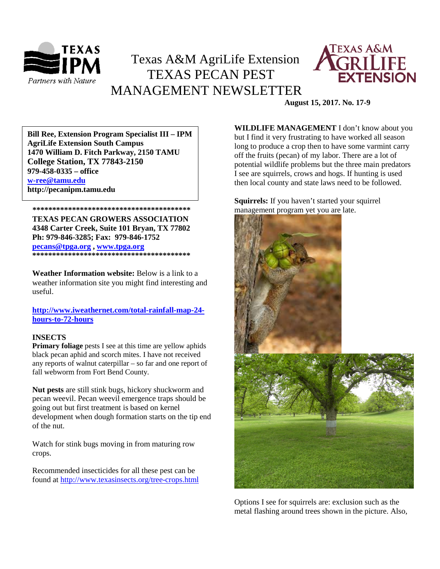

# Texas A&M AgriLife Extension TEXAS PECAN PEST MANAGEMENT NEWSLETTER



**August 15, 2017. No. 17-9**

**\*\*\*\*\*\*\*\*\*\*\*\*\*\*\*\*\*\*\*\*\*\*\*\*\*\*\*\*\*\*\*\*\*\*\*\*\*\*\*\* 1470 William D. Fitch Parkway, 2150 TAMU Bill Ree, Extension Program Specialist III – IPM AgriLife Extension South Campus College Station, TX 77843-2150 979-458-0335 – office [w-ree@tamu.edu](mailto:w-ree@tamu.edu) http://pecanipm.tamu.edu**

**TEXAS PECAN GROWERS ASSOCIATION 4348 Carter Creek, Suite 101 Bryan, TX 77802 Ph: 979-846-3285; Fax: 979-846-1752 [pecans@tpga.org](mailto:pecans@tpga.org) , [www.tpga.org](http://www.tpga.org/) \*\*\*\*\*\*\*\*\*\*\*\*\*\*\*\*\*\*\*\*\*\*\*\*\*\*\*\*\*\*\*\*\*\*\*\*\*\*\*\***

 **\*\*\*\*\*\*\*\*\*\*\*\*\*\*\*\*\*\*\*\*\*\*\*\*\*\*\*\*\*\*\*\*\*\*\*\*\*\*\*\***

**Weather Information website:** Below is a link to a weather information site you might find interesting and useful.

**[http://www.iweathernet.com/total-rainfall-map-24](http://www.iweathernet.com/total-rainfall-map-24-hours-to-72-hours) [hours-to-72-hours](http://www.iweathernet.com/total-rainfall-map-24-hours-to-72-hours)**

## **INSECTS**

**Primary foliage** pests I see at this time are yellow aphids black pecan aphid and scorch mites. I have not received any reports of walnut caterpillar – so far and one report of fall webworm from Fort Bend County.

**Nut pests** are still stink bugs, hickory shuckworm and pecan weevil. Pecan weevil emergence traps should be going out but first treatment is based on kernel development when dough formation starts on the tip end of the nut.

Watch for stink bugs moving in from maturing row crops.

Recommended insecticides for all these pest can be found at <http://www.texasinsects.org/tree-crops.html> **WILDLIFE MANAGEMENT** I don't know about you but I find it very frustrating to have worked all season long to produce a crop then to have some varmint carry off the fruits (pecan) of my labor. There are a lot of potential wildlife problems but the three main predators I see are squirrels, crows and hogs. If hunting is used then local county and state laws need to be followed.

## **Squirrels:** If you haven't started your squirrel management program yet you are late.



Options I see for squirrels are: exclusion such as the metal flashing around trees shown in the picture. Also,